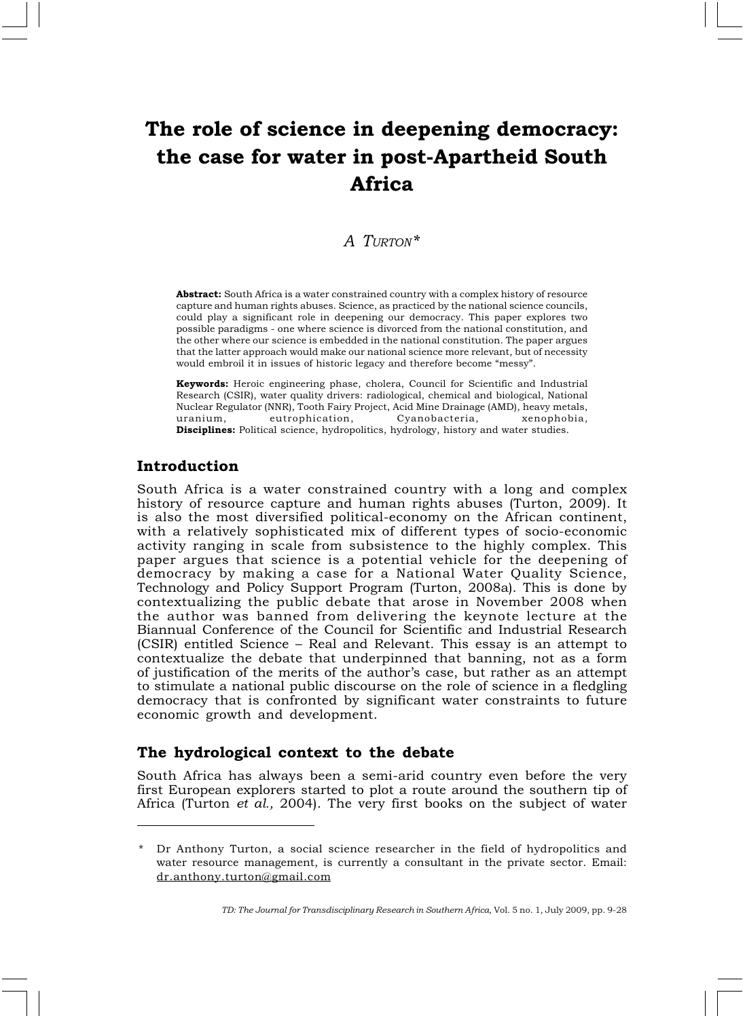# The role of science in deepening democracy: the case for water in post-Apartheid South Africa

## A TURTON\*

Abstract: South Africa is a water constrained country with a complex history of resource capture and human rights abuses. Science, as practiced by the national science councils, could play a significant role in deepening our democracy. This paper explores two possible paradigms - one where science is divorced from the national constitution, and the other where our science is embedded in the national constitution. The paper argues that the latter approach would make our national science more relevant, but of necessity would embroil it in issues of historic legacy and therefore become "messy".

Keywords: Heroic engineering phase, cholera, Council for Scientific and Industrial Research (CSIR), water quality drivers: radiological, chemical and biological, National Nuclear Regulator (NNR), Tooth Fairy Project, Acid Mine Drainage (AMD), heavy metals, uranium, eutrophication, Cyanobacteria, xenophobia, Disciplines: Political science, hydropolitics, hydrology, history and water studies.

## Introduction

South Africa is a water constrained country with a long and complex history of resource capture and human rights abuses (Turton, 2009). It is also the most diversified political-economy on the African continent, with a relatively sophisticated mix of different types of socio-economic activity ranging in scale from subsistence to the highly complex. This paper argues that science is a potential vehicle for the deepening of democracy by making a case for a National Water Quality Science, Technology and Policy Support Program (Turton, 2008a). This is done by contextualizing the public debate that arose in November 2008 when the author was banned from delivering the keynote lecture at the Biannual Conference of the Council for Scientific and Industrial Research (CSIR) entitled Science – Real and Relevant. This essay is an attempt to contextualize the debate that underpinned that banning, not as a form of justification of the merits of the author's case, but rather as an attempt to stimulate a national public discourse on the role of science in a fledgling democracy that is confronted by significant water constraints to future economic growth and development.

#### The hydrological context to the debate

South Africa has always been a semi-arid country even before the very first European explorers started to plot a route around the southern tip of Africa (Turton et al., 2004). The very first books on the subject of water

Dr Anthony Turton, a social science researcher in the field of hydropolitics and water resource management, is currently a consultant in the private sector. Email: dr.anthony.turton@gmail.com

TD: The Journal for Transdisciplinary Research in Southern Africa, Vol. 5 no. 1, July 2009, pp. 9-28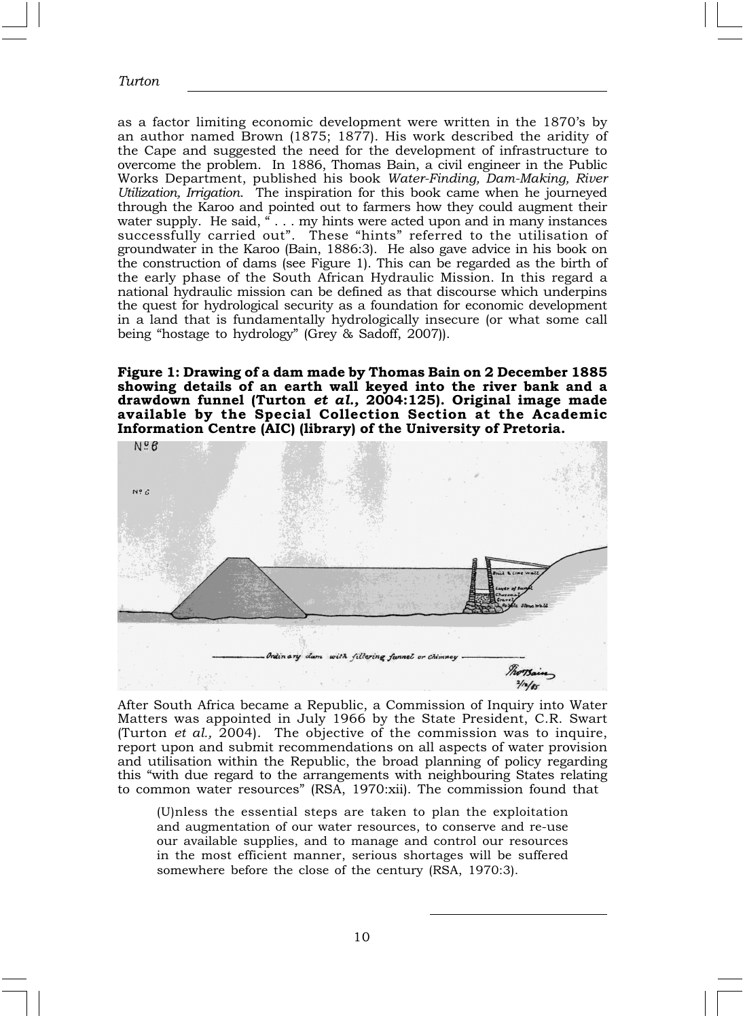as a factor limiting economic development were written in the 1870's by an author named Brown (1875; 1877). His work described the aridity of the Cape and suggested the need for the development of infrastructure to overcome the problem. In 1886, Thomas Bain, a civil engineer in the Public Works Department, published his book Water-Finding, Dam-Making, River Utilization, Irrigation. The inspiration for this book came when he journeyed through the Karoo and pointed out to farmers how they could augment their water supply. He said, "... my hints were acted upon and in many instances successfully carried out". These "hints" referred to the utilisation of groundwater in the Karoo (Bain, 1886:3). He also gave advice in his book on the construction of dams (see Figure 1). This can be regarded as the birth of the early phase of the South African Hydraulic Mission. In this regard a national hydraulic mission can be defined as that discourse which underpins the quest for hydrological security as a foundation for economic development in a land that is fundamentally hydrologically insecure (or what some call being "hostage to hydrology" (Grey & Sadoff, 2007)).

Figure 1: Drawing of a dam made by Thomas Bain on 2 December 1885 showing details of an earth wall keyed into the river bank and a drawdown funnel (Turton et al., 2004:125). Original image made available by the Special Collection Section at the Academic Information Centre (AIC) (library) of the University of Pretoria.



After South Africa became a Republic, a Commission of Inquiry into Water Matters was appointed in July 1966 by the State President, C.R. Swart (Turton *et al.*, 2004). The objective of the commission was to inquire, report upon and submit recommendations on all aspects of water provision and utilisation within the Republic, the broad planning of policy regarding this "with due regard to the arrangements with neighbouring States relating to common water resources" (RSA, 1970:xii). The commission found that

(U)nless the essential steps are taken to plan the exploitation and augmentation of our water resources, to conserve and re-use our available supplies, and to manage and control our resources in the most efficient manner, serious shortages will be suffered somewhere before the close of the century (RSA, 1970:3).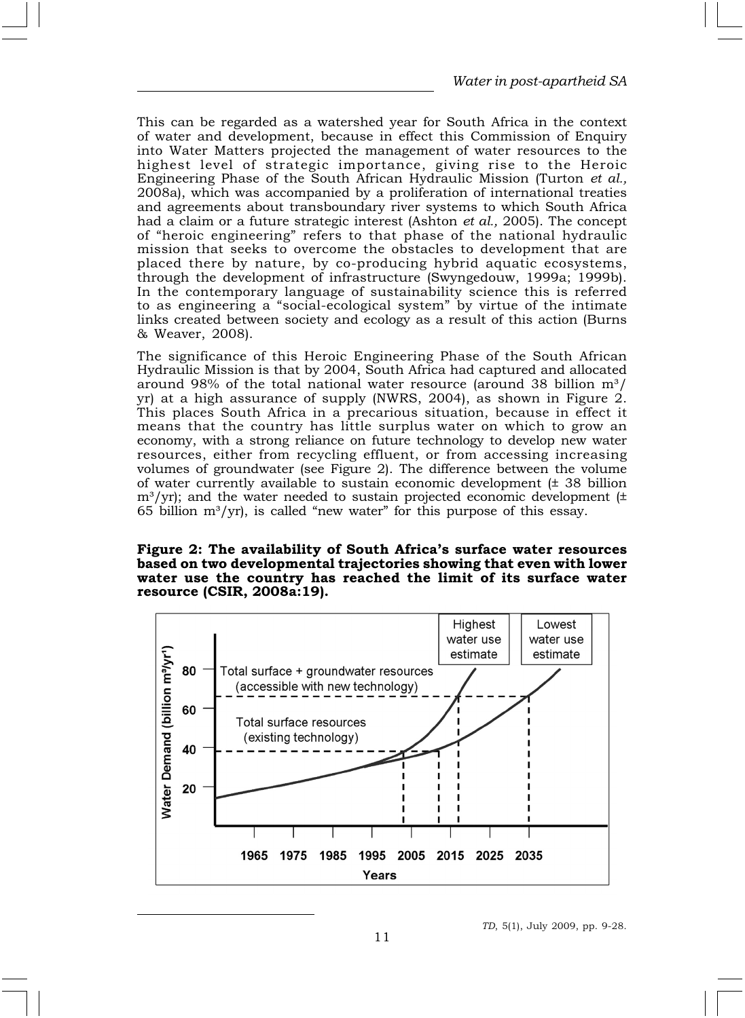This can be regarded as a watershed year for South Africa in the context of water and development, because in effect this Commission of Enquiry into Water Matters projected the management of water resources to the highest level of strategic importance, giving rise to the Heroic Engineering Phase of the South African Hydraulic Mission (Turton et al., 2008a), which was accompanied by a proliferation of international treaties and agreements about transboundary river systems to which South Africa had a claim or a future strategic interest (Ashton et al., 2005). The concept of "heroic engineering" refers to that phase of the national hydraulic mission that seeks to overcome the obstacles to development that are placed there by nature, by co-producing hybrid aquatic ecosystems, through the development of infrastructure (Swyngedouw, 1999a; 1999b). In the contemporary language of sustainability science this is referred to as engineering a "social-ecological system" by virtue of the intimate links created between society and ecology as a result of this action (Burns & Weaver, 2008).

The significance of this Heroic Engineering Phase of the South African Hydraulic Mission is that by 2004, South Africa had captured and allocated around 98% of the total national water resource (around 38 billion  $m^3/$ yr) at a high assurance of supply (NWRS, 2004), as shown in Figure 2. This places South Africa in a precarious situation, because in effect it means that the country has little surplus water on which to grow an economy, with a strong reliance on future technology to develop new water resources, either from recycling effluent, or from accessing increasing volumes of groundwater (see Figure 2). The difference between the volume of water currently available to sustain economic development  $(± 38$  billion  $m<sup>3</sup>/yr$ ); and the water needed to sustain projected economic development ( $\pm$ 65 billion  $m^3/yr$ , is called "new water" for this purpose of this essay.

#### Figure 2: The availability of South Africa's surface water resources based on two developmental trajectories showing that even with lower water use the country has reached the limit of its surface water resource (CSIR, 2008a:19).

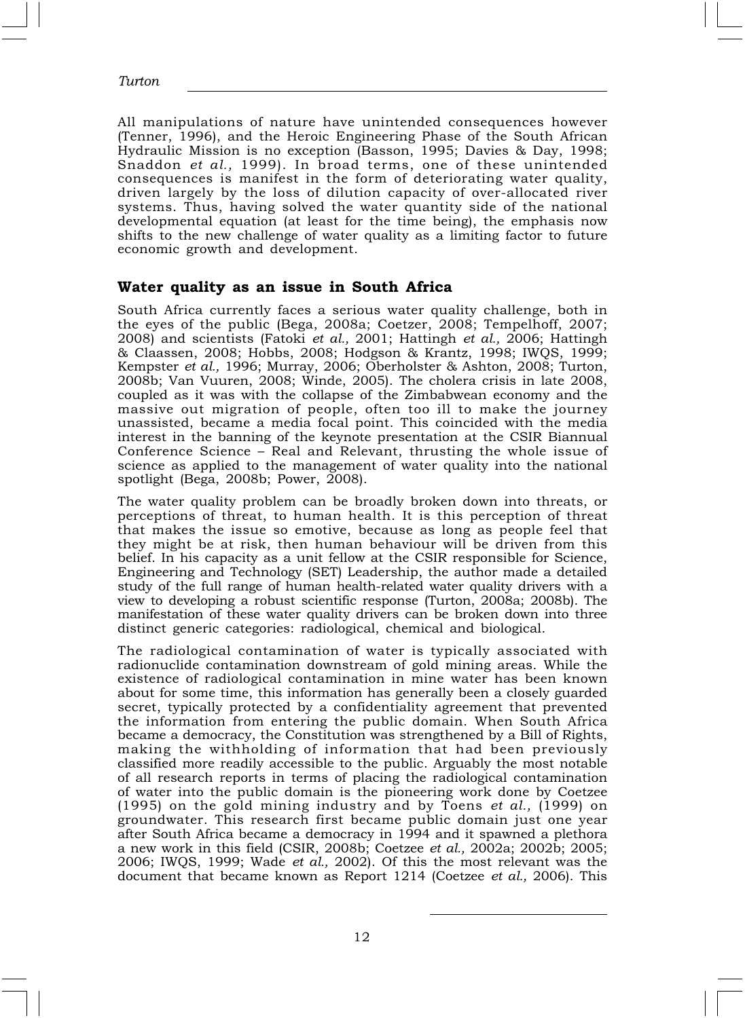All manipulations of nature have unintended consequences however (Tenner, 1996), and the Heroic Engineering Phase of the South African Hydraulic Mission is no exception (Basson, 1995; Davies & Day, 1998; Snaddon et al., 1999). In broad terms, one of these unintended consequences is manifest in the form of deteriorating water quality, driven largely by the loss of dilution capacity of over-allocated river systems. Thus, having solved the water quantity side of the national developmental equation (at least for the time being), the emphasis now shifts to the new challenge of water quality as a limiting factor to future economic growth and development.

#### Water quality as an issue in South Africa

South Africa currently faces a serious water quality challenge, both in the eyes of the public (Bega, 2008a; Coetzer, 2008; Tempelhoff, 2007; 2008) and scientists (Fatoki et al., 2001; Hattingh et al., 2006; Hattingh & Claassen, 2008; Hobbs, 2008; Hodgson & Krantz, 1998; IWQS, 1999; Kempster et al., 1996; Murray, 2006; Oberholster & Ashton, 2008; Turton, 2008b; Van Vuuren, 2008; Winde, 2005). The cholera crisis in late 2008, coupled as it was with the collapse of the Zimbabwean economy and the massive out migration of people, often too ill to make the journey unassisted, became a media focal point. This coincided with the media interest in the banning of the keynote presentation at the CSIR Biannual Conference Science – Real and Relevant, thrusting the whole issue of science as applied to the management of water quality into the national spotlight (Bega, 2008b; Power, 2008).

The water quality problem can be broadly broken down into threats, or perceptions of threat, to human health. It is this perception of threat that makes the issue so emotive, because as long as people feel that they might be at risk, then human behaviour will be driven from this belief. In his capacity as a unit fellow at the CSIR responsible for Science, Engineering and Technology (SET) Leadership, the author made a detailed study of the full range of human health-related water quality drivers with a view to developing a robust scientific response (Turton, 2008a; 2008b). The manifestation of these water quality drivers can be broken down into three distinct generic categories: radiological, chemical and biological.

The radiological contamination of water is typically associated with radionuclide contamination downstream of gold mining areas. While the existence of radiological contamination in mine water has been known about for some time, this information has generally been a closely guarded secret, typically protected by a confidentiality agreement that prevented the information from entering the public domain. When South Africa became a democracy, the Constitution was strengthened by a Bill of Rights, making the withholding of information that had been previously classified more readily accessible to the public. Arguably the most notable of all research reports in terms of placing the radiological contamination of water into the public domain is the pioneering work done by Coetzee (1995) on the gold mining industry and by Toens et al., (1999) on groundwater. This research first became public domain just one year after South Africa became a democracy in 1994 and it spawned a plethora a new work in this field (CSIR, 2008b; Coetzee et al., 2002a; 2002b; 2005; 2006; IWQS, 1999; Wade et al., 2002). Of this the most relevant was the document that became known as Report 1214 (Coetzee et al., 2006). This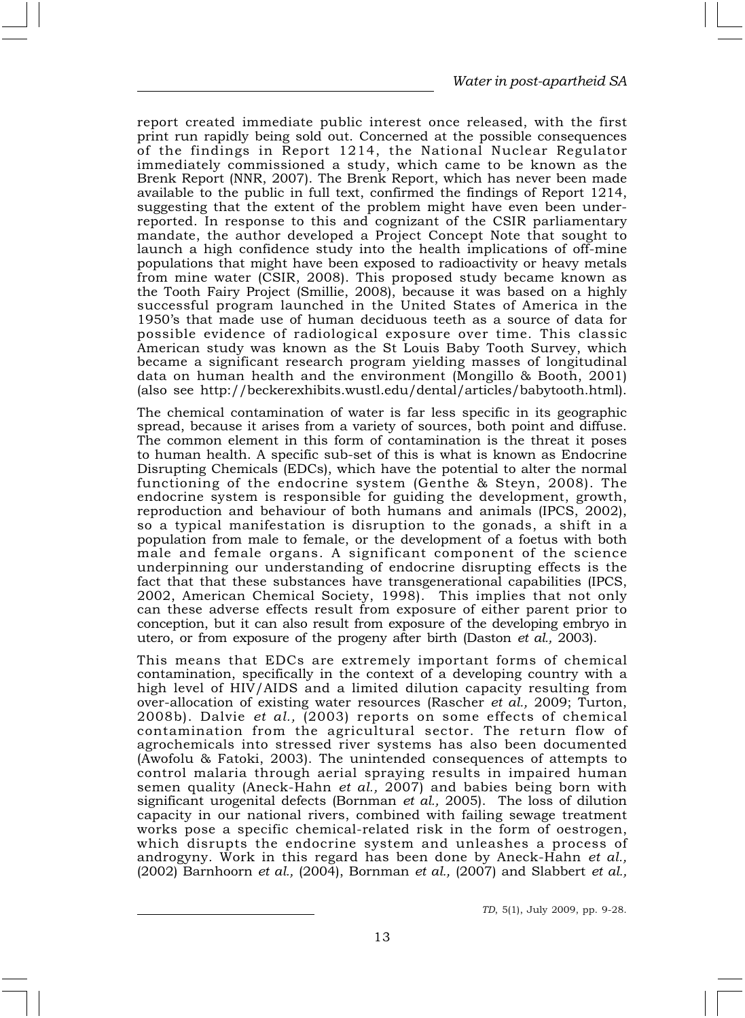report created immediate public interest once released, with the first print run rapidly being sold out. Concerned at the possible consequences of the findings in Report 1214, the National Nuclear Regulator immediately commissioned a study, which came to be known as the Brenk Report (NNR, 2007). The Brenk Report, which has never been made available to the public in full text, confirmed the findings of Report 1214, suggesting that the extent of the problem might have even been underreported. In response to this and cognizant of the CSIR parliamentary mandate, the author developed a Project Concept Note that sought to launch a high confidence study into the health implications of off-mine populations that might have been exposed to radioactivity or heavy metals from mine water (CSIR, 2008). This proposed study became known as the Tooth Fairy Project (Smillie, 2008), because it was based on a highly successful program launched in the United States of America in the 1950's that made use of human deciduous teeth as a source of data for possible evidence of radiological exposure over time. This classic American study was known as the St Louis Baby Tooth Survey, which became a significant research program yielding masses of longitudinal data on human health and the environment (Mongillo & Booth, 2001) (also see http://beckerexhibits.wustl.edu/dental/articles/babytooth.html).

The chemical contamination of water is far less specific in its geographic spread, because it arises from a variety of sources, both point and diffuse. The common element in this form of contamination is the threat it poses to human health. A specific sub-set of this is what is known as Endocrine Disrupting Chemicals (EDCs), which have the potential to alter the normal functioning of the endocrine system (Genthe & Steyn, 2008). The endocrine system is responsible for guiding the development, growth, reproduction and behaviour of both humans and animals (IPCS, 2002), so a typical manifestation is disruption to the gonads, a shift in a population from male to female, or the development of a foetus with both male and female organs. A significant component of the science underpinning our understanding of endocrine disrupting effects is the fact that that these substances have transgenerational capabilities (IPCS, 2002, American Chemical Society, 1998). This implies that not only can these adverse effects result from exposure of either parent prior to conception, but it can also result from exposure of the developing embryo in utero, or from exposure of the progeny after birth (Daston et al., 2003).

This means that EDCs are extremely important forms of chemical contamination, specifically in the context of a developing country with a high level of HIV/AIDS and a limited dilution capacity resulting from over-allocation of existing water resources (Rascher et al., 2009; Turton, 2008b). Dalvie et al., (2003) reports on some effects of chemical contamination from the agricultural sector. The return flow of agrochemicals into stressed river systems has also been documented (Awofolu & Fatoki, 2003). The unintended consequences of attempts to control malaria through aerial spraying results in impaired human semen quality (Aneck-Hahn *et al.,* 2007) and babies being born with significant urogenital defects (Bornman et al., 2005). The loss of dilution capacity in our national rivers, combined with failing sewage treatment works pose a specific chemical-related risk in the form of oestrogen, which disrupts the endocrine system and unleashes a process of androgyny. Work in this regard has been done by Aneck-Hahn et al.,  $(2002)$  Barnhoorn *et al.*,  $(2004)$ , Bornman *et al.*,  $(2007)$  and Slabbert *et al.*,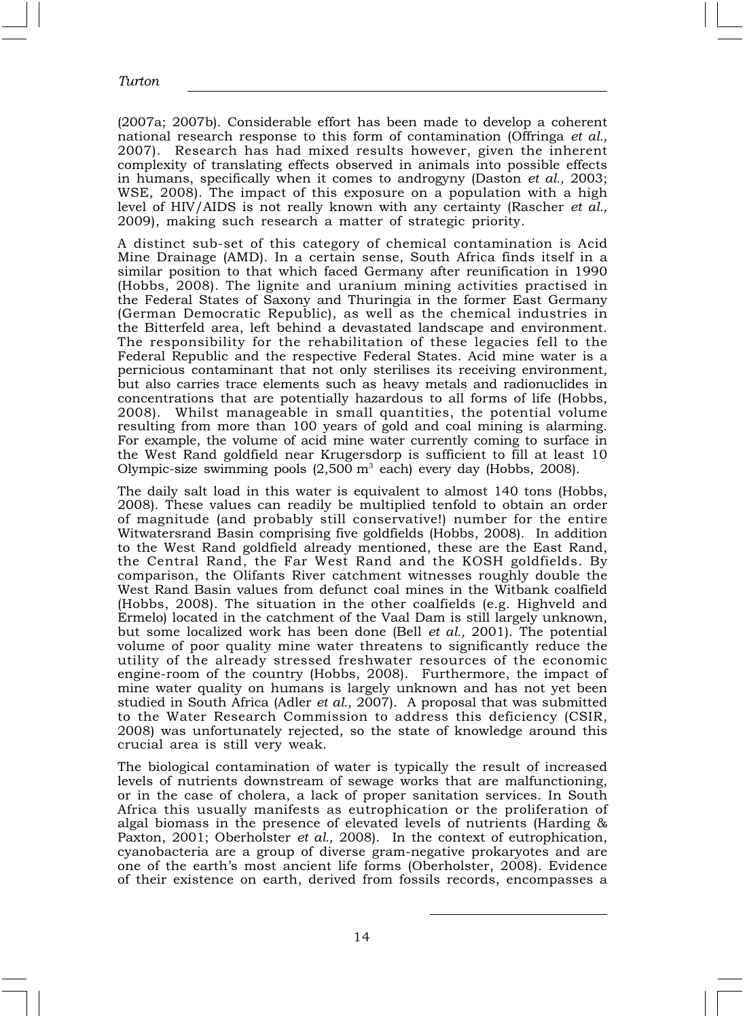(2007a; 2007b). Considerable effort has been made to develop a coherent national research response to this form of contamination (Offringa et al., 2007). Research has had mixed results however, given the inherent complexity of translating effects observed in animals into possible effects in humans, specifically when it comes to androgyny (Daston et al., 2003; WSE, 2008). The impact of this exposure on a population with a high level of HIV/AIDS is not really known with any certainty (Rascher et al., 2009), making such research a matter of strategic priority.

A distinct sub-set of this category of chemical contamination is Acid Mine Drainage (AMD). In a certain sense, South Africa finds itself in a similar position to that which faced Germany after reunification in 1990 (Hobbs, 2008). The lignite and uranium mining activities practised in the Federal States of Saxony and Thuringia in the former East Germany (German Democratic Republic), as well as the chemical industries in the Bitterfeld area, left behind a devastated landscape and environment. The responsibility for the rehabilitation of these legacies fell to the Federal Republic and the respective Federal States. Acid mine water is a pernicious contaminant that not only sterilises its receiving environment, but also carries trace elements such as heavy metals and radionuclides in concentrations that are potentially hazardous to all forms of life (Hobbs, 2008). Whilst manageable in small quantities, the potential volume resulting from more than 100 years of gold and coal mining is alarming. For example, the volume of acid mine water currently coming to surface in the West Rand goldfield near Krugersdorp is sufficient to fill at least 10 Olympic-size swimming pools  $(2,500 \text{ m}^3 \text{ each})$  every day (Hobbs, 2008).

The daily salt load in this water is equivalent to almost 140 tons (Hobbs, 2008). These values can readily be multiplied tenfold to obtain an order of magnitude (and probably still conservative!) number for the entire Witwatersrand Basin comprising five goldfields (Hobbs, 2008). In addition to the West Rand goldfield already mentioned, these are the East Rand, the Central Rand, the Far West Rand and the KOSH goldfields. By comparison, the Olifants River catchment witnesses roughly double the West Rand Basin values from defunct coal mines in the Witbank coalfield (Hobbs, 2008). The situation in the other coalfields (e.g. Highveld and Ermelo) located in the catchment of the Vaal Dam is still largely unknown, but some localized work has been done (Bell  $et$  al., 2001). The potential volume of poor quality mine water threatens to significantly reduce the utility of the already stressed freshwater resources of the economic engine-room of the country (Hobbs, 2008). Furthermore, the impact of mine water quality on humans is largely unknown and has not yet been studied in South Africa (Adler et al., 2007). A proposal that was submitted to the Water Research Commission to address this deficiency (CSIR, 2008) was unfortunately rejected, so the state of knowledge around this crucial area is still very weak.

The biological contamination of water is typically the result of increased levels of nutrients downstream of sewage works that are malfunctioning, or in the case of cholera, a lack of proper sanitation services. In South Africa this usually manifests as eutrophication or the proliferation of algal biomass in the presence of elevated levels of nutrients (Harding & Paxton, 2001; Oberholster et al., 2008). In the context of eutrophication, cyanobacteria are a group of diverse gram-negative prokaryotes and are one of the earth's most ancient life forms (Oberholster, 2008). Evidence of their existence on earth, derived from fossils records, encompasses a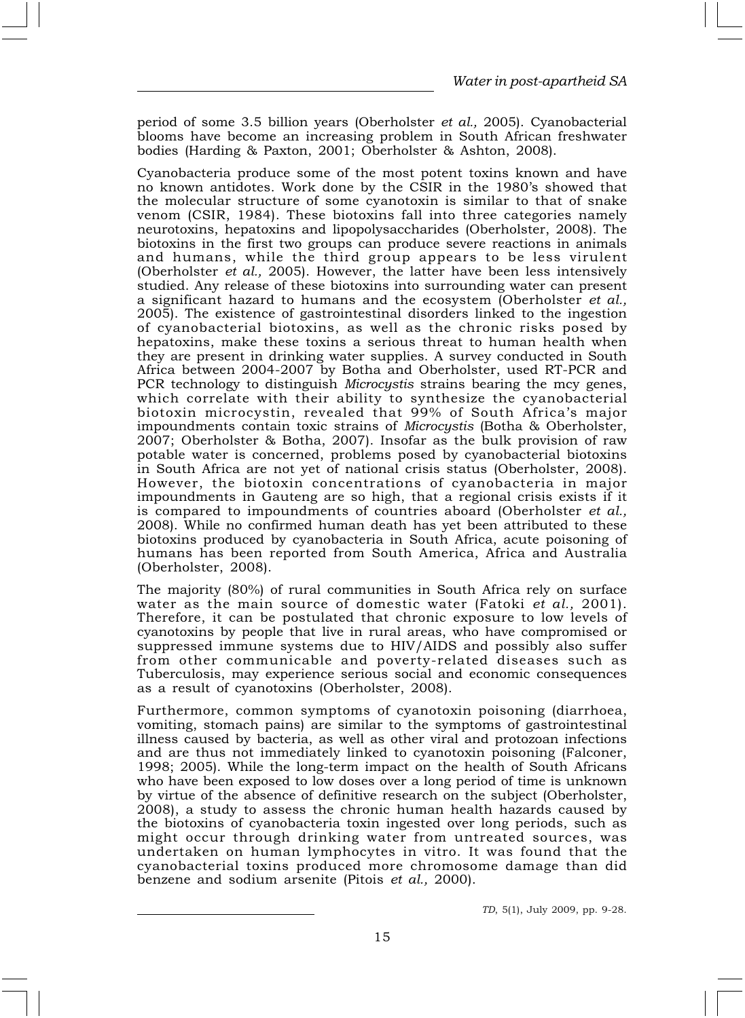period of some 3.5 billion years (Oberholster et al., 2005). Cyanobacterial blooms have become an increasing problem in South African freshwater bodies (Harding & Paxton, 2001; Oberholster & Ashton, 2008).

Cyanobacteria produce some of the most potent toxins known and have no known antidotes. Work done by the CSIR in the 1980's showed that the molecular structure of some cyanotoxin is similar to that of snake venom (CSIR, 1984). These biotoxins fall into three categories namely neurotoxins, hepatoxins and lipopolysaccharides (Oberholster, 2008). The biotoxins in the first two groups can produce severe reactions in animals and humans, while the third group appears to be less virulent (Oberholster et al., 2005). However, the latter have been less intensively studied. Any release of these biotoxins into surrounding water can present a significant hazard to humans and the ecosystem (Oberholster et al., 2005). The existence of gastrointestinal disorders linked to the ingestion of cyanobacterial biotoxins, as well as the chronic risks posed by hepatoxins, make these toxins a serious threat to human health when they are present in drinking water supplies. A survey conducted in South Africa between 2004-2007 by Botha and Oberholster, used RT-PCR and PCR technology to distinguish *Microcystis* strains bearing the mcy genes, which correlate with their ability to synthesize the cyanobacterial biotoxin microcystin, revealed that 99% of South Africa's major impoundments contain toxic strains of Microcystis (Botha & Oberholster, 2007; Oberholster & Botha, 2007). Insofar as the bulk provision of raw potable water is concerned, problems posed by cyanobacterial biotoxins in South Africa are not yet of national crisis status (Oberholster, 2008). However, the biotoxin concentrations of cyanobacteria in major impoundments in Gauteng are so high, that a regional crisis exists if it is compared to impoundments of countries aboard (Oberholster et al., 2008). While no confirmed human death has yet been attributed to these biotoxins produced by cyanobacteria in South Africa, acute poisoning of humans has been reported from South America, Africa and Australia (Oberholster, 2008).

The majority (80%) of rural communities in South Africa rely on surface water as the main source of domestic water (Fatoki et al., 2001). Therefore, it can be postulated that chronic exposure to low levels of cyanotoxins by people that live in rural areas, who have compromised or suppressed immune systems due to HIV/AIDS and possibly also suffer from other communicable and poverty-related diseases such as Tuberculosis, may experience serious social and economic consequences as a result of cyanotoxins (Oberholster, 2008).

Furthermore, common symptoms of cyanotoxin poisoning (diarrhoea, vomiting, stomach pains) are similar to the symptoms of gastrointestinal illness caused by bacteria, as well as other viral and protozoan infections and are thus not immediately linked to cyanotoxin poisoning (Falconer, 1998; 2005). While the long-term impact on the health of South Africans who have been exposed to low doses over a long period of time is unknown by virtue of the absence of definitive research on the subject (Oberholster, 2008), a study to assess the chronic human health hazards caused by the biotoxins of cyanobacteria toxin ingested over long periods, such as might occur through drinking water from untreated sources, was undertaken on human lymphocytes in vitro. It was found that the cyanobacterial toxins produced more chromosome damage than did benzene and sodium arsenite (Pitois et al., 2000).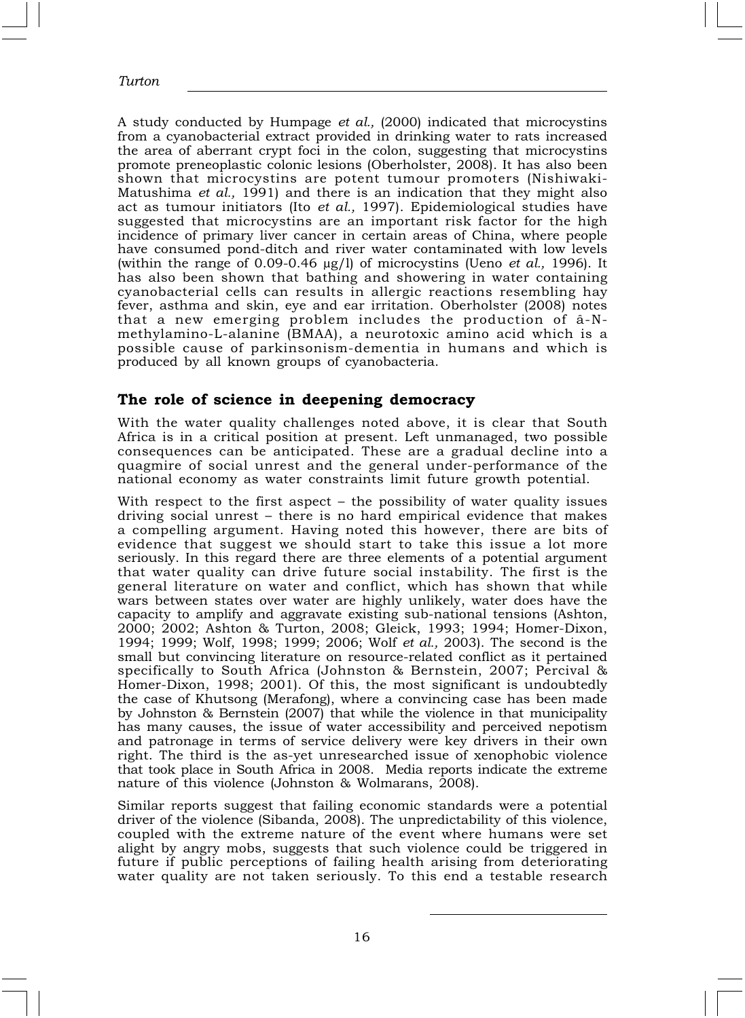A study conducted by Humpage et al., (2000) indicated that microcystins from a cyanobacterial extract provided in drinking water to rats increased the area of aberrant crypt foci in the colon, suggesting that microcystins promote preneoplastic colonic lesions (Oberholster, 2008). It has also been shown that microcystins are potent tumour promoters (Nishiwaki-Matushima et al., 1991) and there is an indication that they might also act as tumour initiators (Ito et al., 1997). Epidemiological studies have suggested that microcystins are an important risk factor for the high incidence of primary liver cancer in certain areas of China, where people have consumed pond-ditch and river water contaminated with low levels (within the range of 0.09-0.46  $\mu$ g/l) of microcystins (Ueno *et al.*, 1996). It has also been shown that bathing and showering in water containing cyanobacterial cells can results in allergic reactions resembling hay fever, asthma and skin, eye and ear irritation. Oberholster (2008) notes that a new emerging problem includes the production of â-Nmethylamino-L-alanine (BMAA), a neurotoxic amino acid which is a possible cause of parkinsonism-dementia in humans and which is produced by all known groups of cyanobacteria.

## The role of science in deepening democracy

With the water quality challenges noted above, it is clear that South Africa is in a critical position at present. Left unmanaged, two possible consequences can be anticipated. These are a gradual decline into a quagmire of social unrest and the general under-performance of the national economy as water constraints limit future growth potential.

With respect to the first aspect – the possibility of water quality issues driving social unrest – there is no hard empirical evidence that makes a compelling argument. Having noted this however, there are bits of evidence that suggest we should start to take this issue a lot more seriously. In this regard there are three elements of a potential argument that water quality can drive future social instability. The first is the general literature on water and conflict, which has shown that while wars between states over water are highly unlikely, water does have the capacity to amplify and aggravate existing sub-national tensions (Ashton, 2000; 2002; Ashton & Turton, 2008; Gleick, 1993; 1994; Homer-Dixon, 1994; 1999; Wolf, 1998; 1999; 2006; Wolf et al., 2003). The second is the small but convincing literature on resource-related conflict as it pertained specifically to South Africa (Johnston & Bernstein, 2007; Percival & Homer-Dixon, 1998; 2001). Of this, the most significant is undoubtedly the case of Khutsong (Merafong), where a convincing case has been made by Johnston & Bernstein (2007) that while the violence in that municipality has many causes, the issue of water accessibility and perceived nepotism and patronage in terms of service delivery were key drivers in their own right. The third is the as-yet unresearched issue of xenophobic violence that took place in South Africa in 2008. Media reports indicate the extreme nature of this violence (Johnston & Wolmarans, 2008).

Similar reports suggest that failing economic standards were a potential driver of the violence (Sibanda, 2008). The unpredictability of this violence, coupled with the extreme nature of the event where humans were set alight by angry mobs, suggests that such violence could be triggered in future if public perceptions of failing health arising from deteriorating water quality are not taken seriously. To this end a testable research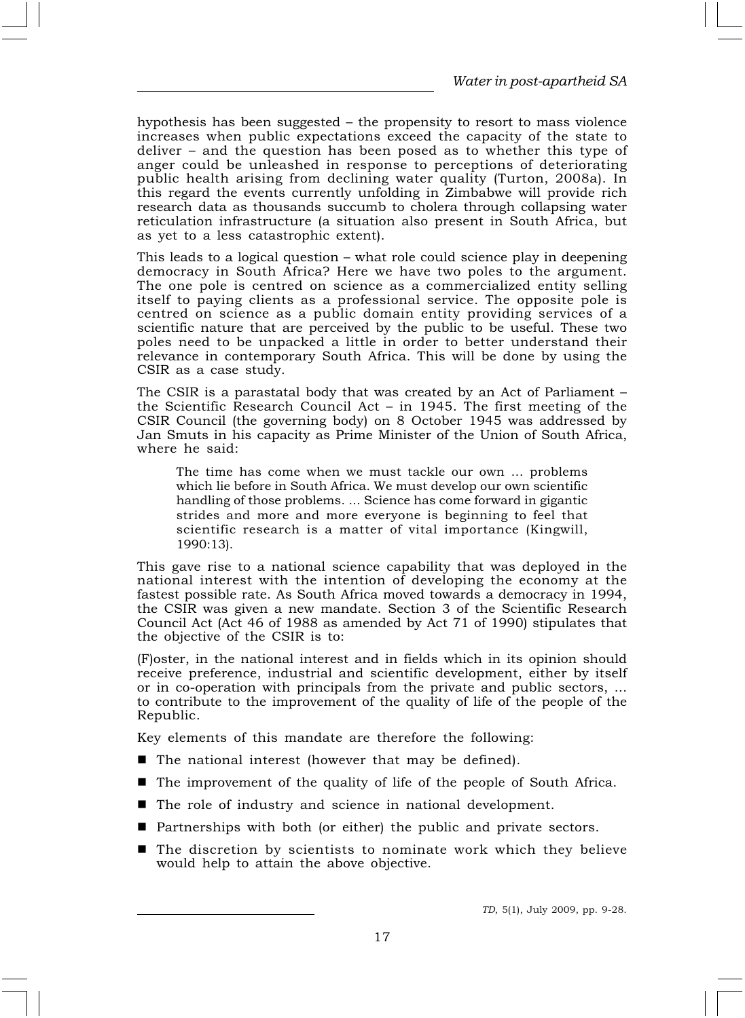hypothesis has been suggested – the propensity to resort to mass violence increases when public expectations exceed the capacity of the state to deliver – and the question has been posed as to whether this type of anger could be unleashed in response to perceptions of deteriorating public health arising from declining water quality (Turton, 2008a). In this regard the events currently unfolding in Zimbabwe will provide rich research data as thousands succumb to cholera through collapsing water reticulation infrastructure (a situation also present in South Africa, but as yet to a less catastrophic extent).

This leads to a logical question – what role could science play in deepening democracy in South Africa? Here we have two poles to the argument. The one pole is centred on science as a commercialized entity selling itself to paying clients as a professional service. The opposite pole is centred on science as a public domain entity providing services of a scientific nature that are perceived by the public to be useful. These two poles need to be unpacked a little in order to better understand their relevance in contemporary South Africa. This will be done by using the CSIR as a case study.

The CSIR is a parastatal body that was created by an Act of Parliament – the Scientific Research Council Act – in 1945. The first meeting of the CSIR Council (the governing body) on 8 October 1945 was addressed by Jan Smuts in his capacity as Prime Minister of the Union of South Africa, where he said:

The time has come when we must tackle our own ... problems which lie before in South Africa. We must develop our own scientific handling of those problems. ... Science has come forward in gigantic strides and more and more everyone is beginning to feel that scientific research is a matter of vital importance (Kingwill, 1990:13).

This gave rise to a national science capability that was deployed in the national interest with the intention of developing the economy at the fastest possible rate. As South Africa moved towards a democracy in 1994, the CSIR was given a new mandate. Section 3 of the Scientific Research Council Act (Act 46 of 1988 as amended by Act 71 of 1990) stipulates that the objective of the CSIR is to:

(F)oster, in the national interest and in fields which in its opinion should receive preference, industrial and scientific development, either by itself or in co-operation with principals from the private and public sectors, ... to contribute to the improvement of the quality of life of the people of the Republic.

Key elements of this mandate are therefore the following:

- The national interest (however that may be defined).
- The improvement of the quality of life of the people of South Africa.
- The role of industry and science in national development.
- Partnerships with both (or either) the public and private sectors.
- The discretion by scientists to nominate work which they believe would help to attain the above objective.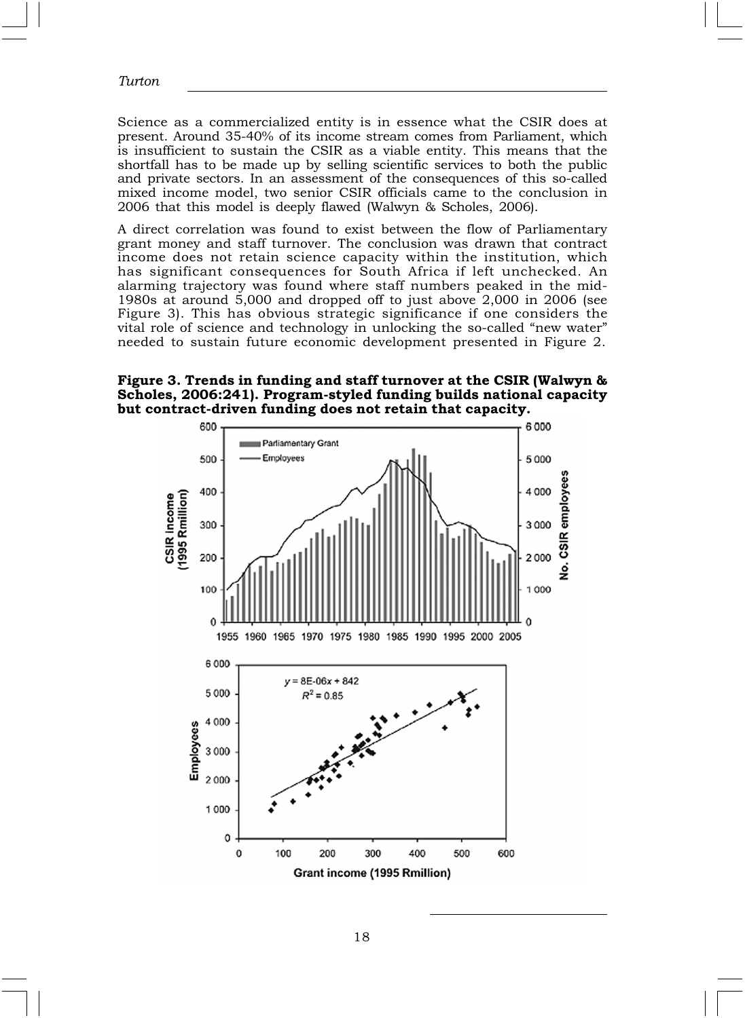Science as a commercialized entity is in essence what the CSIR does at present. Around 35-40% of its income stream comes from Parliament, which is insufficient to sustain the CSIR as a viable entity. This means that the shortfall has to be made up by selling scientific services to both the public and private sectors. In an assessment of the consequences of this so-called mixed income model, two senior CSIR officials came to the conclusion in 2006 that this model is deeply flawed (Walwyn & Scholes, 2006).

A direct correlation was found to exist between the flow of Parliamentary grant money and staff turnover. The conclusion was drawn that contract income does not retain science capacity within the institution, which has significant consequences for South Africa if left unchecked. An alarming trajectory was found where staff numbers peaked in the mid-1980s at around 5,000 and dropped off to just above 2,000 in 2006 (see Figure 3). This has obvious strategic significance if one considers the vital role of science and technology in unlocking the so-called "new water" needed to sustain future economic development presented in Figure 2.

Figure 3. Trends in funding and staff turnover at the CSIR (Walwyn & Scholes, 2006:241). Program-styled funding builds national capacity but contract-driven funding does not retain that capacity.

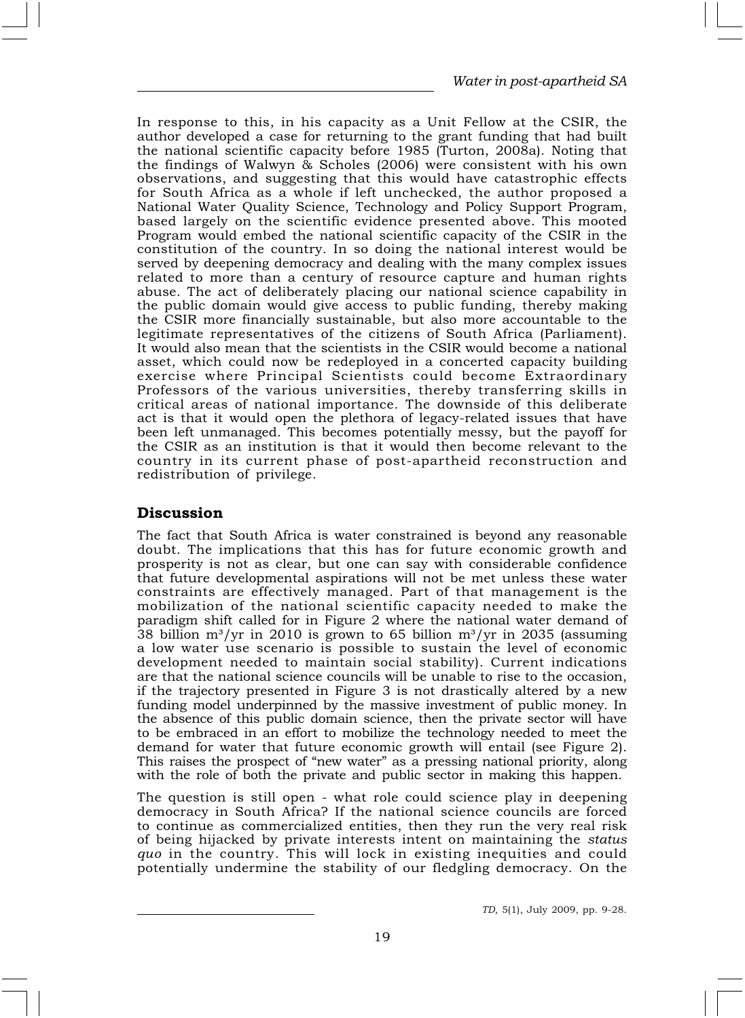In response to this, in his capacity as a Unit Fellow at the CSIR, the author developed a case for returning to the grant funding that had built the national scientific capacity before 1985 (Turton, 2008a). Noting that the findings of Walwyn & Scholes (2006) were consistent with his own observations, and suggesting that this would have catastrophic effects for South Africa as a whole if left unchecked, the author proposed a National Water Quality Science, Technology and Policy Support Program, based largely on the scientific evidence presented above. This mooted Program would embed the national scientific capacity of the CSIR in the constitution of the country. In so doing the national interest would be served by deepening democracy and dealing with the many complex issues related to more than a century of resource capture and human rights abuse. The act of deliberately placing our national science capability in the public domain would give access to public funding, thereby making the CSIR more financially sustainable, but also more accountable to the legitimate representatives of the citizens of South Africa (Parliament). It would also mean that the scientists in the CSIR would become a national asset, which could now be redeployed in a concerted capacity building exercise where Principal Scientists could become Extraordinary Professors of the various universities, thereby transferring skills in critical areas of national importance. The downside of this deliberate act is that it would open the plethora of legacy-related issues that have been left unmanaged. This becomes potentially messy, but the payoff for the CSIR as an institution is that it would then become relevant to the country in its current phase of post-apartheid reconstruction and redistribution of privilege.

## Discussion

The fact that South Africa is water constrained is beyond any reasonable doubt. The implications that this has for future economic growth and prosperity is not as clear, but one can say with considerable confidence that future developmental aspirations will not be met unless these water constraints are effectively managed. Part of that management is the mobilization of the national scientific capacity needed to make the paradigm shift called for in Figure 2 where the national water demand of 38 billion m<sup>3</sup>/yr in 2010 is grown to 65 billion m<sup>3</sup>/yr in 2035 (assuming a low water use scenario is possible to sustain the level of economic development needed to maintain social stability). Current indications are that the national science councils will be unable to rise to the occasion, if the trajectory presented in Figure 3 is not drastically altered by a new funding model underpinned by the massive investment of public money. In the absence of this public domain science, then the private sector will have to be embraced in an effort to mobilize the technology needed to meet the demand for water that future economic growth will entail (see Figure 2). This raises the prospect of "new water" as a pressing national priority, along with the role of both the private and public sector in making this happen.

The question is still open - what role could science play in deepening democracy in South Africa? If the national science councils are forced to continue as commercialized entities, then they run the very real risk of being hijacked by private interests intent on maintaining the status quo in the country. This will lock in existing inequities and could potentially undermine the stability of our fledgling democracy. On the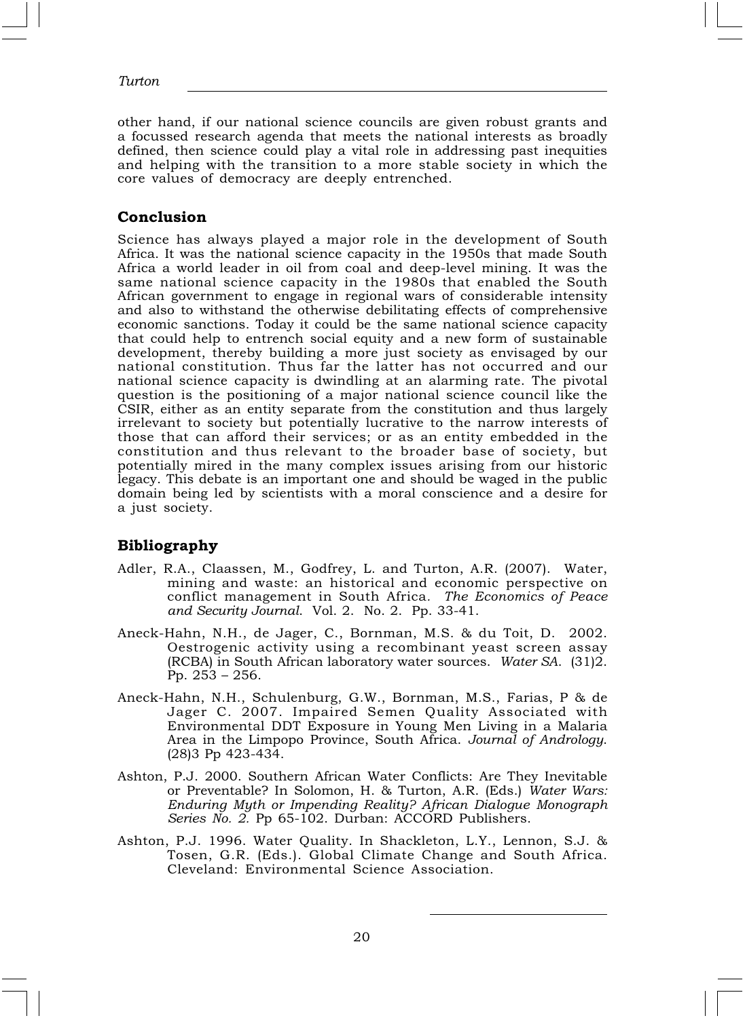other hand, if our national science councils are given robust grants and a focussed research agenda that meets the national interests as broadly defined, then science could play a vital role in addressing past inequities and helping with the transition to a more stable society in which the core values of democracy are deeply entrenched.

#### Conclusion

Science has always played a major role in the development of South Africa. It was the national science capacity in the 1950s that made South Africa a world leader in oil from coal and deep-level mining. It was the same national science capacity in the 1980s that enabled the South African government to engage in regional wars of considerable intensity and also to withstand the otherwise debilitating effects of comprehensive economic sanctions. Today it could be the same national science capacity that could help to entrench social equity and a new form of sustainable development, thereby building a more just society as envisaged by our national constitution. Thus far the latter has not occurred and our national science capacity is dwindling at an alarming rate. The pivotal question is the positioning of a major national science council like the CSIR, either as an entity separate from the constitution and thus largely irrelevant to society but potentially lucrative to the narrow interests of those that can afford their services; or as an entity embedded in the constitution and thus relevant to the broader base of society, but potentially mired in the many complex issues arising from our historic legacy. This debate is an important one and should be waged in the public domain being led by scientists with a moral conscience and a desire for a just society.

#### Bibliography

- Adler, R.A., Claassen, M., Godfrey, L. and Turton, A.R. (2007). Water, mining and waste: an historical and economic perspective on conflict management in South Africa. The Economics of Peace and Security Journal. Vol. 2. No. 2. Pp. 33-41.
- Aneck-Hahn, N.H., de Jager, C., Bornman, M.S. & du Toit, D. 2002. Oestrogenic activity using a recombinant yeast screen assay (RCBA) in South African laboratory water sources. Water SA. (31)2. Pp. 253 – 256.
- Aneck-Hahn, N.H., Schulenburg, G.W., Bornman, M.S., Farias, P & de Jager C. 2007. Impaired Semen Quality Associated with Environmental DDT Exposure in Young Men Living in a Malaria Area in the Limpopo Province, South Africa. Journal of Andrology. (28)3 Pp 423-434.
- Ashton, P.J. 2000. Southern African Water Conflicts: Are They Inevitable or Preventable? In Solomon, H. & Turton, A.R. (Eds.) Water Wars: Enduring Myth or Impending Reality? African Dialogue Monograph Series No. 2. Pp 65-102. Durban: ACCORD Publishers.
- Ashton, P.J. 1996. Water Quality. In Shackleton, L.Y., Lennon, S.J. & Tosen, G.R. (Eds.). Global Climate Change and South Africa. Cleveland: Environmental Science Association.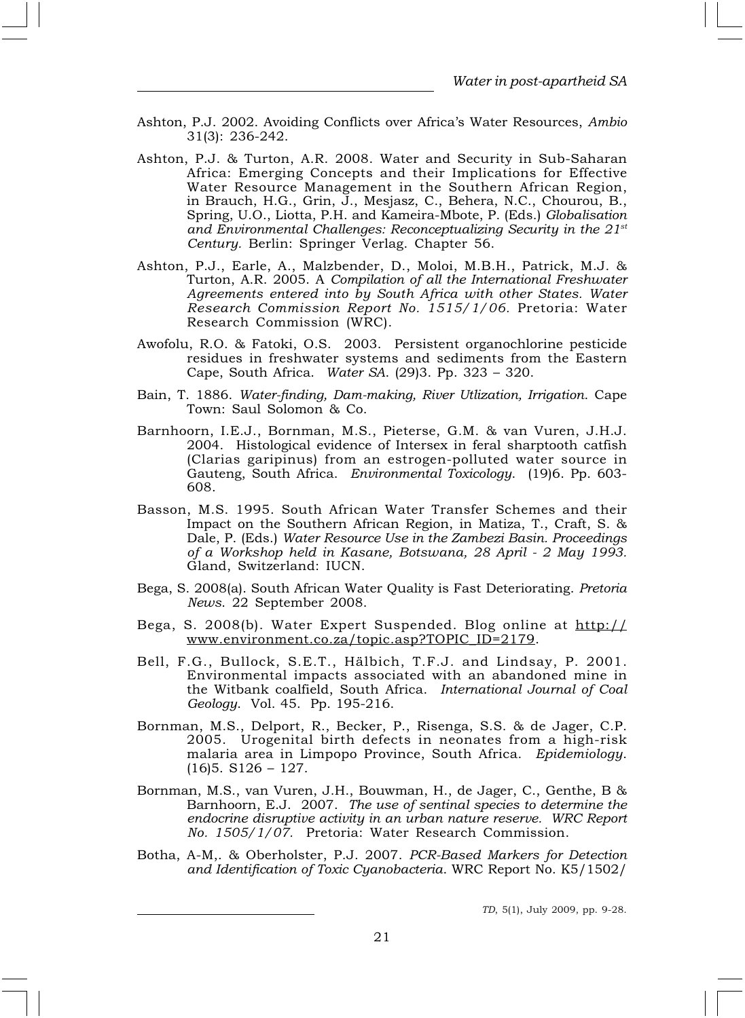- Ashton, P.J. 2002. Avoiding Conflicts over Africa's Water Resources, Ambio 31(3): 236-242.
- Ashton, P.J. & Turton, A.R. 2008. Water and Security in Sub-Saharan Africa: Emerging Concepts and their Implications for Effective Water Resource Management in the Southern African Region, in Brauch, H.G., Grin, J., Mesjasz, C., Behera, N.C., Chourou, B., Spring, U.O., Liotta, P.H. and Kameira-Mbote, P. (Eds.) Globalisation and Environmental Challenges: Reconceptualizing Security in the  $21<sup>st</sup>$ Century. Berlin: Springer Verlag. Chapter 56.
- Ashton, P.J., Earle, A., Malzbender, D., Moloi, M.B.H., Patrick, M.J. & Turton, A.R. 2005. A Compilation of all the International Freshwater Agreements entered into by South Africa with other States. Water Research Commission Report No. 1515/1/06. Pretoria: Water Research Commission (WRC).
- Awofolu, R.O. & Fatoki, O.S. 2003. Persistent organochlorine pesticide residues in freshwater systems and sediments from the Eastern Cape, South Africa. Water SA. (29)3. Pp. 323 – 320.
- Bain, T. 1886. Water-finding, Dam-making, River Utlization, Irrigation. Cape Town: Saul Solomon & Co.
- Barnhoorn, I.E.J., Bornman, M.S., Pieterse, G.M. & van Vuren, J.H.J. 2004. Histological evidence of Intersex in feral sharptooth catfish (Clarias garipinus) from an estrogen-polluted water source in Gauteng, South Africa. Environmental Toxicology. (19)6. Pp. 603- 608.
- Basson, M.S. 1995. South African Water Transfer Schemes and their Impact on the Southern African Region, in Matiza, T., Craft, S. & Dale, P. (Eds.) Water Resource Use in the Zambezi Basin. Proceedings of a Workshop held in Kasane, Botswana, 28 April - 2 May 1993. Gland, Switzerland: IUCN.
- Bega, S. 2008(a). South African Water Quality is Fast Deteriorating. Pretoria News. 22 September 2008.
- Bega, S. 2008(b). Water Expert Suspended. Blog online at http:// www.environment.co.za/topic.asp?TOPIC\_ID=2179.
- Bell, F.G., Bullock, S.E.T., Hälbich, T.F.J. and Lindsay, P. 2001. Environmental impacts associated with an abandoned mine in the Witbank coalfield, South Africa. International Journal of Coal Geology. Vol. 45. Pp. 195-216.
- Bornman, M.S., Delport, R., Becker, P., Risenga, S.S. & de Jager, C.P. 2005. Urogenital birth defects in neonates from a high-risk malaria area in Limpopo Province, South Africa. Epidemiology.  $(16)5. S126 - 127.$
- Bornman, M.S., van Vuren, J.H., Bouwman, H., de Jager, C., Genthe, B & Barnhoorn, E.J. 2007. The use of sentinal species to determine the endocrine disruptive activity in an urban nature reserve. WRC Report No. 1505/1/07. Pretoria: Water Research Commission.
- Botha, A-M,. & Oberholster, P.J. 2007. PCR-Based Markers for Detection and Identification of Toxic Cyanobacteria. WRC Report No. K5/1502/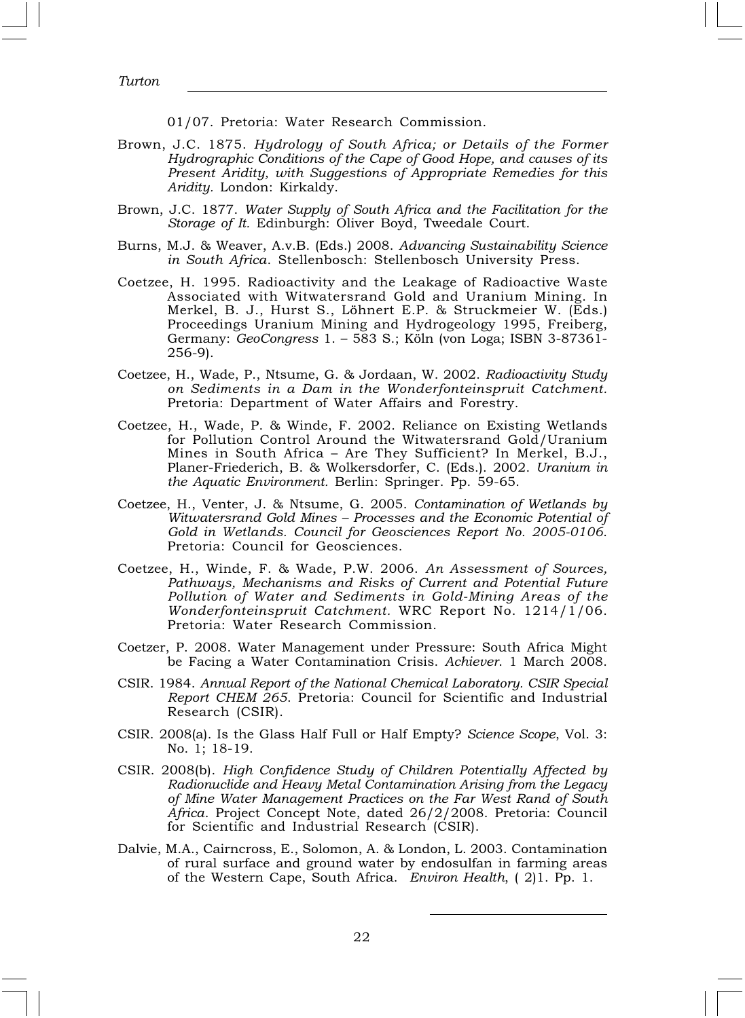01/07. Pretoria: Water Research Commission.

- Brown, J.C. 1875. Hydrology of South Africa; or Details of the Former Hydrographic Conditions of the Cape of Good Hope, and causes of its Present Aridity, with Suggestions of Appropriate Remedies for this Aridity. London: Kirkaldy.
- Brown, J.C. 1877. Water Supply of South Africa and the Facilitation for the Storage of It. Edinburgh: Oliver Boyd, Tweedale Court.
- Burns, M.J. & Weaver, A.v.B. (Eds.) 2008. Advancing Sustainability Science in South Africa. Stellenbosch: Stellenbosch University Press.
- Coetzee, H. 1995. Radioactivity and the Leakage of Radioactive Waste Associated with Witwatersrand Gold and Uranium Mining. In Merkel, B. J., Hurst S., Löhnert E.P. & Struckmeier W. (Eds.) Proceedings Uranium Mining and Hydrogeology 1995, Freiberg, Germany: GeoCongress 1. – 583 S.; Köln (von Loga; ISBN 3-87361- 256-9).
- Coetzee, H., Wade, P., Ntsume, G. & Jordaan, W. 2002. Radioactivity Study on Sediments in a Dam in the Wonderfonteinspruit Catchment. Pretoria: Department of Water Affairs and Forestry.
- Coetzee, H., Wade, P. & Winde, F. 2002. Reliance on Existing Wetlands for Pollution Control Around the Witwatersrand Gold/Uranium Mines in South Africa – Are They Sufficient? In Merkel, B.J., Planer-Friederich, B. & Wolkersdorfer, C. (Eds.). 2002. Uranium in the Aquatic Environment. Berlin: Springer. Pp. 59-65.
- Coetzee, H., Venter, J. & Ntsume, G. 2005. Contamination of Wetlands by Witwatersrand Gold Mines – Processes and the Economic Potential of Gold in Wetlands. Council for Geosciences Report No. 2005-0106. Pretoria: Council for Geosciences.
- Coetzee, H., Winde, F. & Wade, P.W. 2006. An Assessment of Sources, Pathways, Mechanisms and Risks of Current and Potential Future Pollution of Water and Sediments in Gold-Mining Areas of the Wonderfonteinspruit Catchment. WRC Report No. 1214/1/06. Pretoria: Water Research Commission.
- Coetzer, P. 2008. Water Management under Pressure: South Africa Might be Facing a Water Contamination Crisis. Achiever. 1 March 2008.
- CSIR. 1984. Annual Report of the National Chemical Laboratory. CSIR Special Report CHEM 265. Pretoria: Council for Scientific and Industrial Research (CSIR).
- CSIR. 2008(a). Is the Glass Half Full or Half Empty? Science Scope, Vol. 3: No. 1; 18-19.
- CSIR. 2008(b). High Confidence Study of Children Potentially Affected by Radionuclide and Heavy Metal Contamination Arising from the Legacy of Mine Water Management Practices on the Far West Rand of South Africa. Project Concept Note, dated 26/2/2008. Pretoria: Council for Scientific and Industrial Research (CSIR).
- Dalvie, M.A., Cairncross, E., Solomon, A. & London, L. 2003. Contamination of rural surface and ground water by endosulfan in farming areas of the Western Cape, South Africa. Environ Health, ( 2)1. Pp. 1.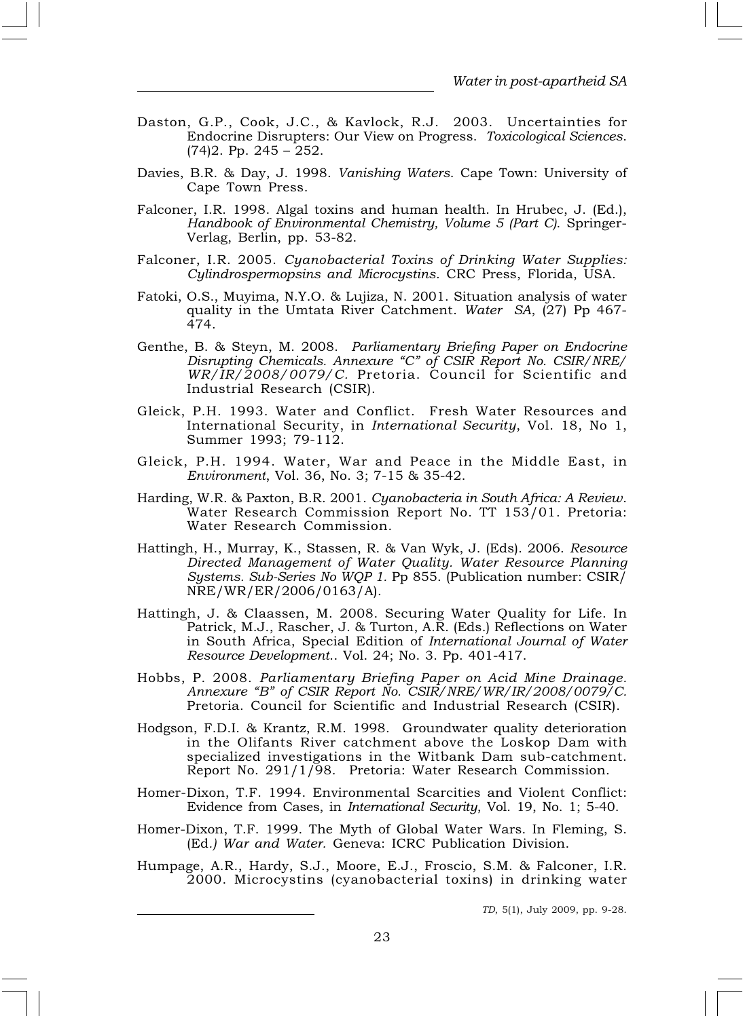- Daston, G.P., Cook, J.C., & Kavlock, R.J. 2003. Uncertainties for Endocrine Disrupters: Our View on Progress. Toxicological Sciences. (74)2. Pp. 245 – 252.
- Davies, B.R. & Day, J. 1998. Vanishing Waters. Cape Town: University of Cape Town Press.
- Falconer, I.R. 1998. Algal toxins and human health. In Hrubec, J. (Ed.), Handbook of Environmental Chemistry, Volume 5 (Part C). Springer-Verlag, Berlin, pp. 53-82.
- Falconer, I.R. 2005. Cyanobacterial Toxins of Drinking Water Supplies: Cylindrospermopsins and Microcystins. CRC Press, Florida, USA.
- Fatoki, O.S., Muyima, N.Y.O. & Lujiza, N. 2001. Situation analysis of water quality in the Umtata River Catchment. Water SA, (27) Pp 467- 474.
- Genthe, B. & Steyn, M. 2008. Parliamentary Briefing Paper on Endocrine Disrupting Chemicals. Annexure "C" of CSIR Report No. CSIR/NRE/  $WR/\overline{I}R/\overline{2}008/0079/C$ . Pretoria. Council for Scientific and Industrial Research (CSIR).
- Gleick, P.H. 1993. Water and Conflict. Fresh Water Resources and International Security, in International Security, Vol. 18, No 1, Summer 1993; 79-112.
- Gleick, P.H. 1994. Water, War and Peace in the Middle East, in Environment, Vol. 36, No. 3; 7-15 & 35-42.
- Harding, W.R. & Paxton, B.R. 2001. Cyanobacteria in South Africa: A Review. Water Research Commission Report No. TT 153/01. Pretoria: Water Research Commission.
- Hattingh, H., Murray, K., Stassen, R. & Van Wyk, J. (Eds). 2006. Resource Directed Management of Water Quality. Water Resource Planning Systems. Sub-Series No WQP 1. Pp 855. (Publication number: CSIR/ NRE/WR/ER/2006/0163/A).
- Hattingh, J. & Claassen, M. 2008. Securing Water Quality for Life. In Patrick, M.J., Rascher, J. & Turton, A.R. (Eds.) Reflections on Water in South Africa, Special Edition of International Journal of Water Resource Development.. Vol. 24; No. 3. Pp. 401-417.
- Hobbs, P. 2008. Parliamentary Briefing Paper on Acid Mine Drainage. Annexure "B" of CSIR Report No. CSIR/NRE/WR/IR/2008/0079/C. Pretoria. Council for Scientific and Industrial Research (CSIR).
- Hodgson, F.D.I. & Krantz, R.M. 1998. Groundwater quality deterioration in the Olifants River catchment above the Loskop Dam with specialized investigations in the Witbank Dam sub-catchment. Report No. 291/1/98. Pretoria: Water Research Commission.
- Homer-Dixon, T.F. 1994. Environmental Scarcities and Violent Conflict: Evidence from Cases, in International Security, Vol. 19, No. 1; 5-40.
- Homer-Dixon, T.F. 1999. The Myth of Global Water Wars. In Fleming, S. (Ed.) War and Water. Geneva: ICRC Publication Division.
- Humpage, A.R., Hardy, S.J., Moore, E.J., Froscio, S.M. & Falconer, I.R. 2000. Microcystins (cyanobacterial toxins) in drinking water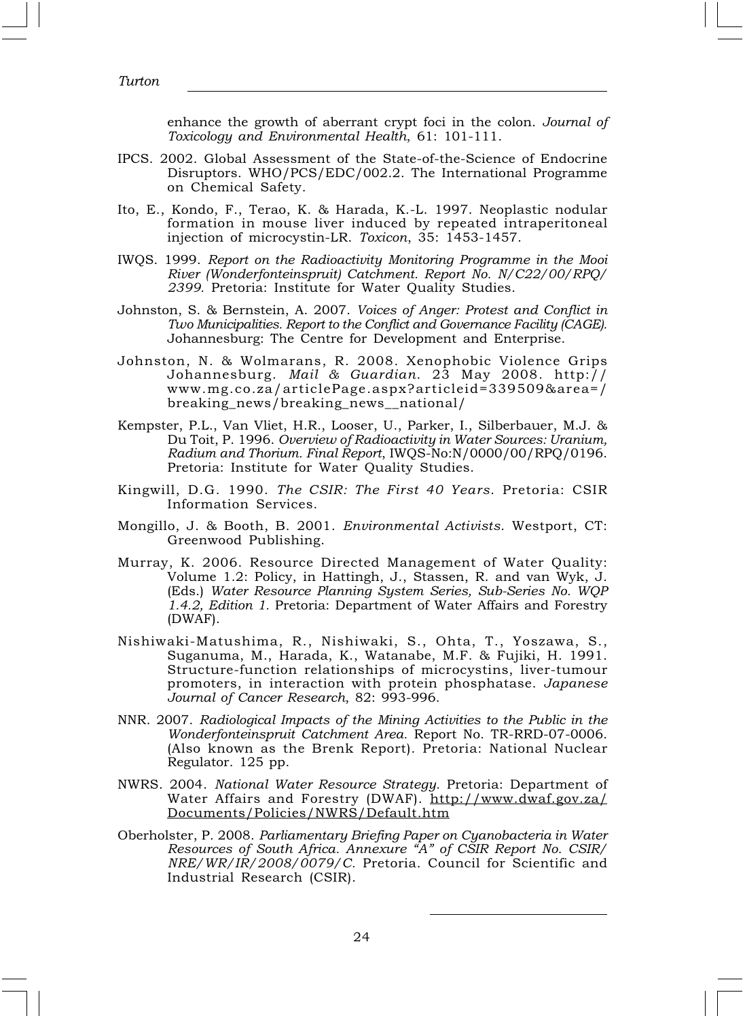enhance the growth of aberrant crypt foci in the colon. Journal of Toxicology and Environmental Health, 61: 101-111.

- IPCS. 2002. Global Assessment of the State-of-the-Science of Endocrine Disruptors. WHO/PCS/EDC/002.2. The International Programme on Chemical Safety.
- Ito, E., Kondo, F., Terao, K. & Harada, K.-L. 1997. Neoplastic nodular formation in mouse liver induced by repeated intraperitoneal injection of microcystin-LR. Toxicon, 35: 1453-1457.
- IWQS. 1999. Report on the Radioactivity Monitoring Programme in the Mooi River (Wonderfonteinspruit) Catchment. Report No. N/C22/00/RPQ/ 2399. Pretoria: Institute for Water Quality Studies.
- Johnston, S. & Bernstein, A. 2007. Voices of Anger: Protest and Conflict in Two Municipalities. Report to the Conflict and Governance Facility (CAGE). Johannesburg: The Centre for Development and Enterprise.
- Johnston, N. & Wolmarans, R. 2008. Xenophobic Violence Grips Johannesburg. Mail & Guardian. 23 May 2008. http:// www.mg.co.za/articlePage.aspx?articleid=339509&area=/ breaking\_news/breaking\_news\_\_national/
- Kempster, P.L., Van Vliet, H.R., Looser, U., Parker, I., Silberbauer, M.J. & Du Toit, P. 1996. Overview of Radioactivity in Water Sources: Uranium, Radium and Thorium. Final Report, IWQS-No:N/0000/00/RPQ/0196. Pretoria: Institute for Water Quality Studies.
- Kingwill, D.G. 1990. The CSIR: The First 40 Years. Pretoria: CSIR Information Services.
- Mongillo, J. & Booth, B. 2001. Environmental Activists. Westport, CT: Greenwood Publishing.
- Murray, K. 2006. Resource Directed Management of Water Quality: Volume 1.2: Policy, in Hattingh, J., Stassen, R. and van Wyk, J. (Eds.) Water Resource Planning System Series, Sub-Series No. WQP 1.4.2, Edition 1. Pretoria: Department of Water Affairs and Forestry (DWAF).
- Nishiwaki-Matushima, R., Nishiwaki, S., Ohta, T., Yoszawa, S., Suganuma, M., Harada, K., Watanabe, M.F. & Fujiki, H. 1991. Structure-function relationships of microcystins, liver-tumour promoters, in interaction with protein phosphatase. Japanese Journal of Cancer Research, 82: 993-996.
- NNR. 2007. Radiological Impacts of the Mining Activities to the Public in the Wonderfonteinspruit Catchment Area. Report No. TR-RRD-07-0006. (Also known as the Brenk Report). Pretoria: National Nuclear Regulator. 125 pp.
- NWRS. 2004. National Water Resource Strategy. Pretoria: Department of Water Affairs and Forestry (DWAF). http://www.dwaf.gov.za/ Documents/Policies/NWRS/Default.htm
- Oberholster, P. 2008. Parliamentary Briefing Paper on Cyanobacteria in Water Resources of South Africa. Annexure "A" of CSIR Report No. CSIR/ NRE/WR/IR/2008/0079/C. Pretoria. Council for Scientific and Industrial Research (CSIR).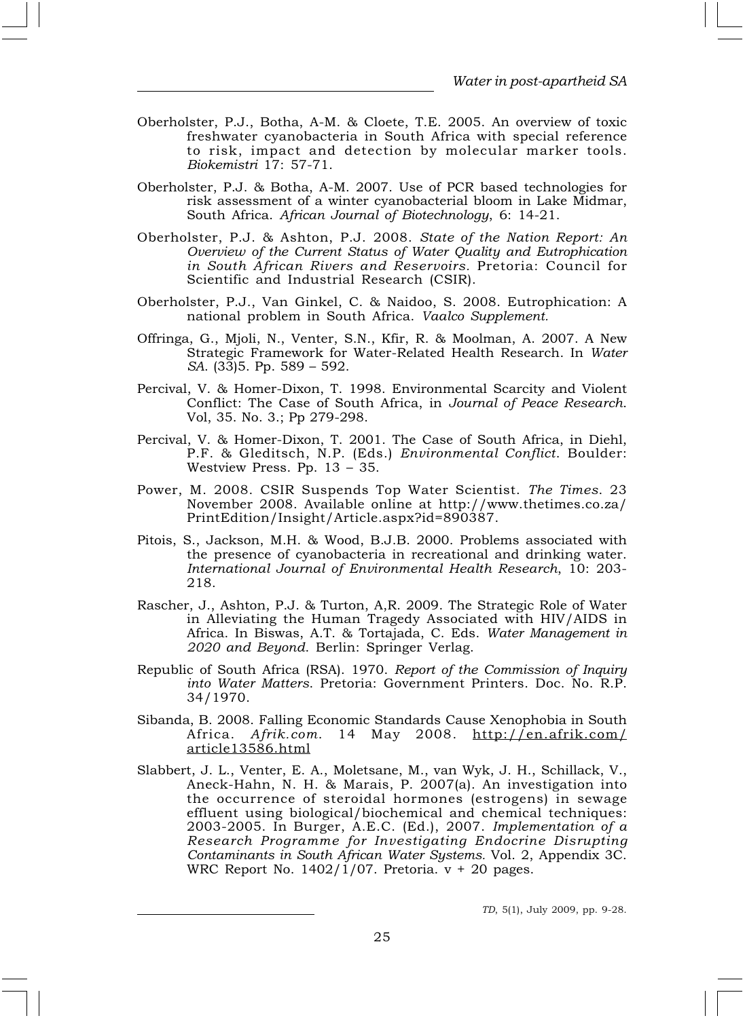- Oberholster, P.J., Botha, A-M. & Cloete, T.E. 2005. An overview of toxic freshwater cyanobacteria in South Africa with special reference to risk, impact and detection by molecular marker tools. Biokemistri 17: 57-71.
- Oberholster, P.J. & Botha, A-M. 2007. Use of PCR based technologies for risk assessment of a winter cyanobacterial bloom in Lake Midmar, South Africa. African Journal of Biotechnology, 6: 14-21.
- Oberholster, P.J. & Ashton, P.J. 2008. State of the Nation Report: An Overview of the Current Status of Water Quality and Eutrophication in South African Rivers and Reservoirs. Pretoria: Council for Scientific and Industrial Research (CSIR).
- Oberholster, P.J., Van Ginkel, C. & Naidoo, S. 2008. Eutrophication: A national problem in South Africa. Vaalco Supplement.
- Offringa, G., Mjoli, N., Venter, S.N., Kfir, R. & Moolman, A. 2007. A New Strategic Framework for Water-Related Health Research. In Water SA. (33)5. Pp. 589 – 592.
- Percival, V. & Homer-Dixon, T. 1998. Environmental Scarcity and Violent Conflict: The Case of South Africa, in Journal of Peace Research. Vol, 35. No. 3.; Pp 279-298.
- Percival, V. & Homer-Dixon, T. 2001. The Case of South Africa, in Diehl, P.F. & Gleditsch, N.P. (Eds.) Environmental Conflict. Boulder: Westview Press. Pp. 13 – 35.
- Power, M. 2008. CSIR Suspends Top Water Scientist. The Times. 23 November 2008. Available online at http://www.thetimes.co.za/ PrintEdition/Insight/Article.aspx?id=890387.
- Pitois, S., Jackson, M.H. & Wood, B.J.B. 2000. Problems associated with the presence of cyanobacteria in recreational and drinking water. International Journal of Environmental Health Research, 10: 203- 218.
- Rascher, J., Ashton, P.J. & Turton, A,R. 2009. The Strategic Role of Water in Alleviating the Human Tragedy Associated with HIV/AIDS in Africa. In Biswas, A.T. & Tortajada, C. Eds. Water Management in 2020 and Beyond. Berlin: Springer Verlag.
- Republic of South Africa (RSA). 1970. Report of the Commission of Inquiry into Water Matters. Pretoria: Government Printers. Doc. No. R.P. 34/1970.
- Sibanda, B. 2008. Falling Economic Standards Cause Xenophobia in South Africa. Afrik.com. 14 May 2008. http://en.afrik.com/ article13586.html
- Slabbert, J. L., Venter, E. A., Moletsane, M., van Wyk, J. H., Schillack, V., Aneck-Hahn, N. H. & Marais, P. 2007(a). An investigation into the occurrence of steroidal hormones (estrogens) in sewage effluent using biological/biochemical and chemical techniques: 2003-2005. In Burger, A.E.C. (Ed.), 2007. Implementation of a Research Programme for Investigating Endocrine Disrupting Contaminants in South African Water Systems. Vol. 2, Appendix 3C. WRC Report No.  $1402/\overline{1}/07$ . Pretoria.  $v + 20$  pages.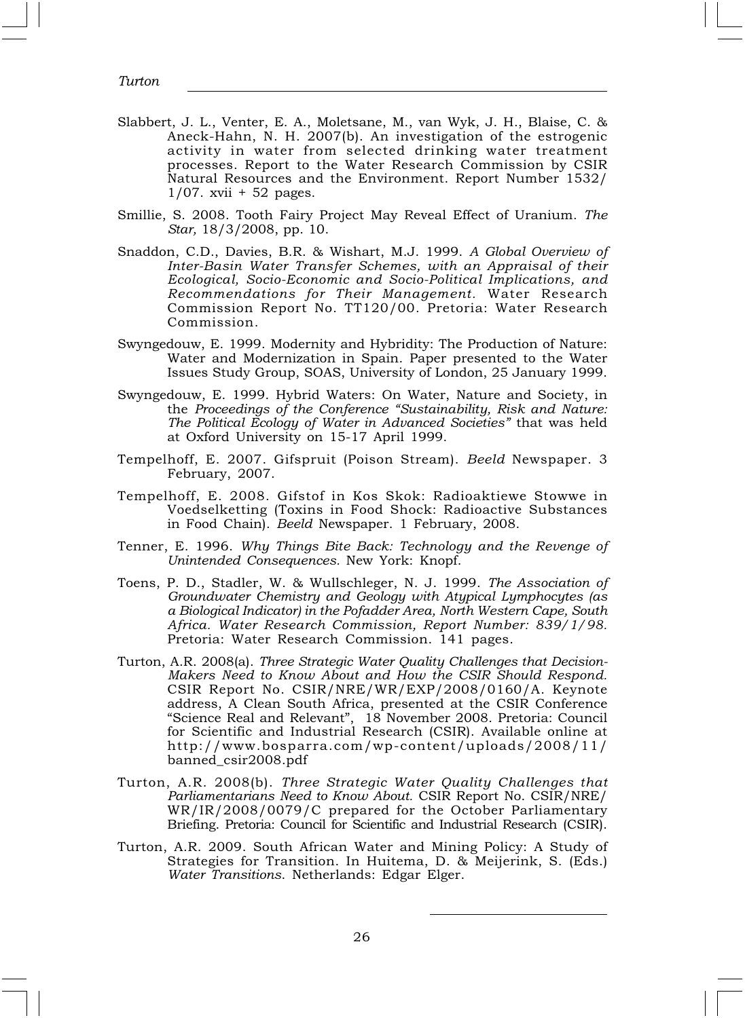- Slabbert, J. L., Venter, E. A., Moletsane, M., van Wyk, J. H., Blaise, C. & Aneck-Hahn, N. H. 2007(b). An investigation of the estrogenic activity in water from selected drinking water treatment processes. Report to the Water Research Commission by CSIR Natural Resources and the Environment. Report Number 1532/ 1/07. xvii + 52 pages.
- Smillie, S. 2008. Tooth Fairy Project May Reveal Effect of Uranium. The Star, 18/3/2008, pp. 10.
- Snaddon, C.D., Davies, B.R. & Wishart, M.J. 1999. A Global Overview of Inter-Basin Water Transfer Schemes, with an Appraisal of their Ecological, Socio-Economic and Socio-Political Implications, and Recommendations for Their Management. Water Research Commission Report No. TT120/00. Pretoria: Water Research Commission.
- Swyngedouw, E. 1999. Modernity and Hybridity: The Production of Nature: Water and Modernization in Spain. Paper presented to the Water Issues Study Group, SOAS, University of London, 25 January 1999.
- Swyngedouw, E. 1999. Hybrid Waters: On Water, Nature and Society, in the Proceedings of the Conference "Sustainability, Risk and Nature: The Political Ecology of Water in Advanced Societies" that was held at Oxford University on 15-17 April 1999.
- Tempelhoff, E. 2007. Gifspruit (Poison Stream). Beeld Newspaper. 3 February, 2007.
- Tempelhoff, E. 2008. Gifstof in Kos Skok: Radioaktiewe Stowwe in Voedselketting (Toxins in Food Shock: Radioactive Substances in Food Chain). Beeld Newspaper. 1 February, 2008.
- Tenner, E. 1996. Why Things Bite Back: Technology and the Revenge of Unintended Consequences. New York: Knopf.
- Toens, P. D., Stadler, W. & Wullschleger, N. J. 1999. The Association of Groundwater Chemistry and Geology with Atypical Lymphocytes (as a Biological Indicator) in the Pofadder Area, North Western Cape, South Africa. Water Research Commission, Report Number: 839/1/98. Pretoria: Water Research Commission. 141 pages.
- Turton, A.R. 2008(a). Three Strategic Water Quality Challenges that Decision-Makers Need to Know About and How the CSIR Should Respond. CSIR Report No. CSIR/NRE/WR/EXP/2008/0160/A. Keynote address, A Clean South Africa, presented at the CSIR Conference "Science Real and Relevant", 18 November 2008. Pretoria: Council for Scientific and Industrial Research (CSIR). Available online at http://www.bosparra.com/wp-content/uploads/2008/11/ banned\_csir2008.pdf
- Turton, A.R. 2008(b). Three Strategic Water Quality Challenges that Parliamentarians Need to Know About. CSIR Report No. CSIR/NRE/ WR/IR/2008/0079/C prepared for the October Parliamentary Briefing. Pretoria: Council for Scientific and Industrial Research (CSIR).
- Turton, A.R. 2009. South African Water and Mining Policy: A Study of Strategies for Transition. In Huitema, D. & Meijerink, S. (Eds.) Water Transitions. Netherlands: Edgar Elger.